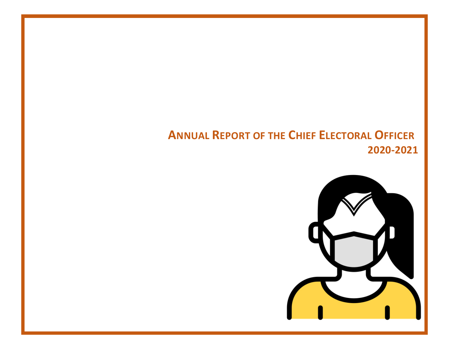# **ANNUAL REPORT OF THE CHIEF ELECTORAL OFFICER 2020-2021**

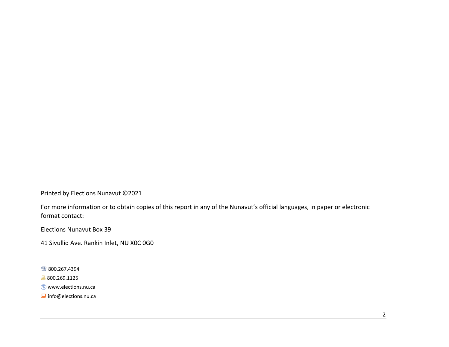Printed by Elections Nunavut ©2021

For more information or to obtain copies of this report in any of the Nunavut's official languages, in paper or electronic format contact:

Elections Nunavut Box 39

41 Sivulliq Ave. Rankin Inlet, NU X0C 0G0

图 800.267.4394

 $800.269.1125$ 

**Www.elections.nu.ca** 

Info@elections.nu.ca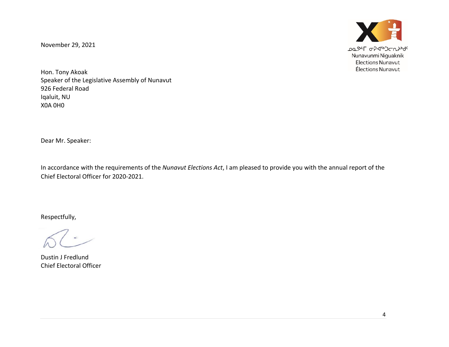November 29, 2021



Hon. Tony Akoak Speaker of the Legislative Assembly of Nunavut 926 Federal Road Iqaluit, NU X0A 0H0

Dear Mr. Speaker:

In accordance with the requirements of the *Nunavut Elections Act*, I am pleased to provide you with the annual report of the Chief Electoral Officer for 2020-2021.

Respectfully,

Dustin J Fredlund Chief Electoral Officer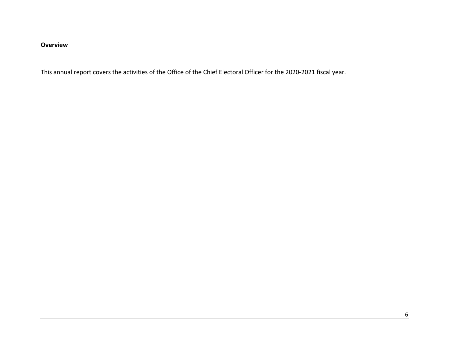# **Overview**

This annual report covers the activities of the Office of the Chief Electoral Officer for the 2020-2021 fiscal year.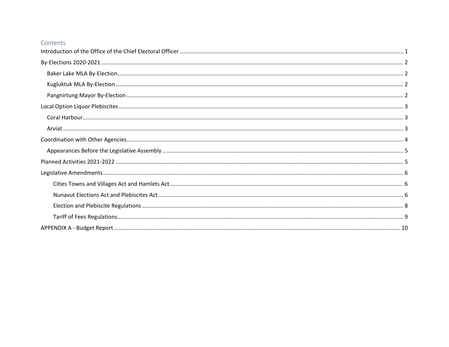### Contents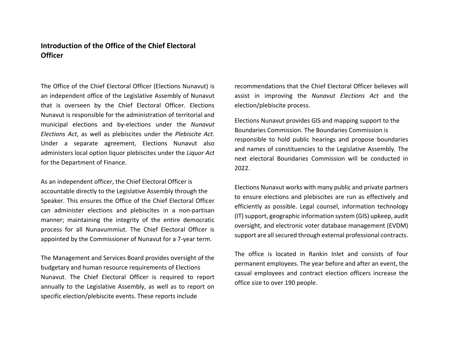# <span id="page-13-0"></span>**Introduction of the Office of the Chief Electoral Officer**

The Office of the Chief Electoral Officer (Elections Nunavut) is an independent office of the Legislative Assembly of Nunavut that is overseen by the Chief Electoral Officer. Elections Nunavut is responsible for the administration of territorial and municipal elections and by-elections under the *Nunavut Elections Act*, as well as plebiscites under the *Plebiscite Act*. Under a separate agreement, Elections Nunavut also administers local option liquor plebiscites under the *Liquor Act*  for the Department of Finance.

As an independent officer, the Chief Electoral Officer is accountable directly to the Legislative Assembly through the Speaker. This ensures the Office of the Chief Electoral Officer can administer elections and plebiscites in a non-partisan manner; maintaining the integrity of the entire democratic process for all Nunavummiut. The Chief Electoral Officer is appointed by the Commissioner of Nunavut for a 7-year term.

The Management and Services Board provides oversight of the budgetary and human resource requirements of Elections Nunavut. The Chief Electoral Officer is required to report annually to the Legislative Assembly, as well as to report on specific election/plebiscite events. These reports include

recommendations that the Chief Electoral Officer believes will assist in improving the *Nunavut Elections Act* and the election/plebiscite process.

Elections Nunavut provides GIS and mapping support to the Boundaries Commission. The Boundaries Commission is responsible to hold public hearings and propose boundaries and names of constituencies to the Legislative Assembly. The next electoral Boundaries Commission will be conducted in 2022.

Elections Nunavut works with many public and private partners to ensure elections and plebiscites are run as effectively and efficiently as possible. Legal counsel, information technology (IT) support, geographic information system (GIS) upkeep, audit oversight, and electronic voter database management (EVDM) support are all secured through external professional contracts.

The office is located in Rankin Inlet and consists of four permanent employees. The year before and after an event, the casual employees and contract election officers increase the office size to over 190 people.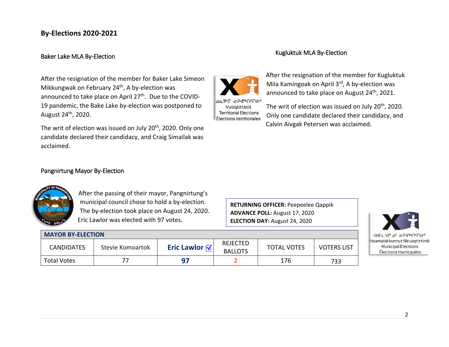# <span id="page-14-0"></span>**By-Elections 2020-2021**

### <span id="page-14-1"></span>Baker Lake MLA By-Election

After the resignation of the member for Baker Lake Simeon Mikkungwak on February 24<sup>th</sup>, A by-election was announced to take place on April 27<sup>th</sup>. Due to the COVID-19 pandemic, the Bake Lake by-election was postponed to August 24th, 2020.

The writ of election was issued on July 20<sup>th</sup>, 2020. Only one candidate declared their candidacy, and Craig Simailak was acclaimed.

### <span id="page-14-3"></span>Pangnirtung Mayor By-Election

**MAYOR BY-ELECTION**



After the passing of their mayor, Pangnirtung's municipal council chose to hold a by-election. The by-election took place on August 24, 2020. Eric Lawlor was elected with 97 votes.

CANDIDATES Stevie Komoartok **Eric Lawlor** 

Total Votes 77 **97** 2 176 733

**RETURNING OFFICER:** Peepeelee Qappik **ADVANCE POLL:** August 17, 2020 **ELECTION DAY:** August 24, 2020

TOTAL VOTES | VOTERS LIST

| ᡰᡰᢦᡅᡄ᠉ᡃᡆᢆᠣᡄ᠂᠍ᢅᠥᠫᢦᡗᡃᡊᢂᢗᡰᢁ       |
|--------------------------------|
| Haamalakkunnut Niruagtittiniit |
| Municipal Elections            |
| Élections municipales          |

### <span id="page-14-2"></span>Kugluktuk MLA By-Election



Vutiqtittiniit **Territorial Elections** Élections territoriales

After the resignation of the member for Kugluktuk Mila Kamingoak on April 3rd, A by-election was announced to take place on August 24<sup>th</sup>, 2021.

The writ of election was issued on July 20<sup>th</sup>, 2020. Only one candidate declared their candidacy, and Calvin Aivgak Petersen was acclaimed.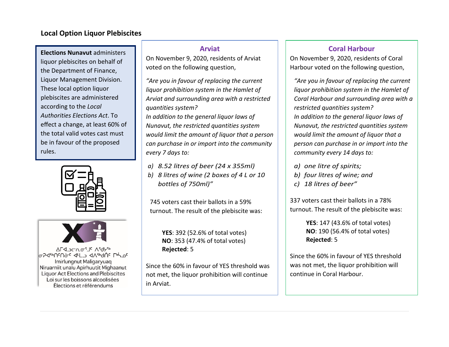# <span id="page-15-0"></span>**Local Option Liquor Plebiscites**

**Elections Nunavut** administers liquor plebiscites on behalf of the Department of Finance, Liquor Management Division. These local option liquor plebiscites are administered according to the *Local Authorities Elections Act*. To effect a change, at least 60% of the total valid votes cast must be in favour of the proposed rules.





ALS JOUR LE Vigher **0794bNSNGC 44LJ 4A4bdNC LPHOC** Imirlungnut Maligaryuag Niruarniit unalu Apirhuutit Mighaanut **Liquor Act Elections and Plebiscites** Loi sur les boissons alcoolisées Élections et référendums

# **Arviat**

On November 9, 2020, residents of Arviat voted on the following question,

*"Are you in favour of replacing the current liquor prohibition system in the Hamlet of Arviat and surrounding area with a restricted quantities system?* 

*In addition to the general liquor laws of Nunavut, the restricted quantities system would limit the amount of liquor that a person can purchase in or import into the community every 7 days to:*

- *a) 8.52 litres of beer (24 x 355ml)*
- *b) 8 litres of wine (2 boxes of 4 L or 10 bottles of 750ml)"*

745 voters cast their ballots in a 59% turnout. The result of the plebiscite was:

> **YES**: 392 (52.6% of total votes) **NO**: 353 (47.4% of total votes) **Rejected**: 5

Since the 60% in favour of YES threshold was not met, the liquor prohibition will continue in Arviat.

# **Coral Harbour**

On November 9, 2020, residents of Coral Harbour voted on the following question,

*"Are you in favour of replacing the current liquor prohibition system in the Hamlet of Coral Harbour and surrounding area with a restricted quantities system? In addition to the general liquor laws of Nunavut, the restricted quantities system would limit the amount of liquor that a person can purchase in or import into the community every 14 days to:*

- *a) one litre of spirits;*
- *b) four litres of wine; and*
- *c) 18 litres of beer"*

337 voters cast their ballots in a 78% turnout. The result of the plebiscite was:

> **YES**: 147 (43.6% of total votes) **NO**: 190 (56.4% of total votes) **Rejected**: 5

Since the 60% in favour of YES threshold was not met, the liquor prohibition will continue in Coral Harbour.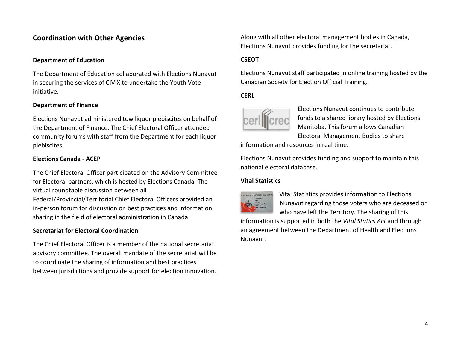# <span id="page-16-0"></span>**Coordination with Other Agencies**

### **Department of Education**

The Department of Education collaborated with Elections Nunavut in securing the services of CIVIX to undertake the Youth Vote initiative.

### **Department of Finance**

Elections Nunavut administered tow liquor plebiscites on behalf of the Department of Finance. The Chief Electoral Officer attended community forums with staff from the Department for each liquor plebiscites.

### **Elections Canada - ACEP**

The Chief Electoral Officer participated on the Advisory Committee for Electoral partners, which is hosted by Elections Canada. The virtual roundtable discussion between all

Federal/Provincial/Territorial Chief Electoral Officers provided an in-person forum for discussion on best practices and information sharing in the field of electoral administration in Canada.

### **Secretariat for Electoral Coordination**

The Chief Electoral Officer is a member of the national secretariat advisory committee. The overall mandate of the secretariat will be to coordinate the sharing of information and best practices between jurisdictions and provide support for election innovation. Along with all other electoral management bodies in Canada, Elections Nunavut provides funding for the secretariat.

### **CSEOT**

Elections Nunavut staff participated in online training hosted by the Canadian Society for Election Official Training.

### **CERL**



Elections Nunavut continues to contribute funds to a shared library hosted by Elections Manitoba. This forum allows Canadian Electoral Management Bodies to share

information and resources in real time.

Elections Nunavut provides funding and support to maintain this national electoral database.

### **Vital Statistics**



Vital Statistics provides information to Elections Nunavut regarding those voters who are deceased or who have left the Territory. The sharing of this

information is supported in both the *Vital Statics Act* and through an agreement between the Department of Health and Elections Nunavut.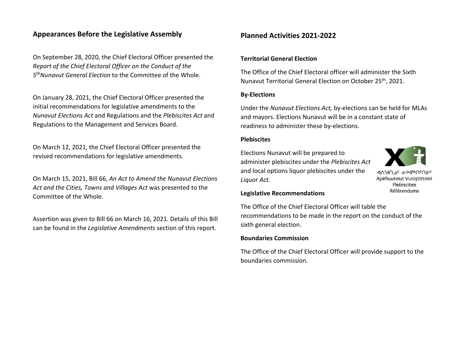# <span id="page-17-0"></span>**Appearances Before the Legislative Assembly**

On September 28, 2020, the Chief Electoral Officer presented the *Report of the Chief Electoral Officer on the Conduct of the 5thNunavut General Election* to the Committee of the Whole.

On January 28, 2021, the Chief Electoral Officer presented the initial recommendations for legislative amendments to the *Nunavut Elections Act* and Regulations and the *Plebiscites Act* and Regulations to the Management and Services Board.

On March 12, 2021, the Chief Electoral Officer presented the revised recommendations for legislative amendments.

On March 15, 2021, Bill 66, *An Act to Amend the Nunavut Elections Act and the Cities, Towns and Villages Act* was presented to the Committee of the Whole.

Assertion was given to Bill 66 on March 16, 2021. Details of this Bill can be found in the *Legislative Amendments* section of this report.

# <span id="page-17-1"></span>**Planned Activities 2021-2022**

### **Territorial General Election**

The Office of the Chief Electoral officer will administer the Sixth Nunavut Territorial General Election on October 25th, 2021.

### **By-Elections**

Under the *Nunavut Elections Act,* by-elections can be held for MLAs and mayors. Elections Nunavut will be in a constant state of readiness to administer these by-elections.

### **Plebiscites**

Elections Nunavut will be prepared to administer plebiscites under the *Plebiscites Act* and local options liquor plebiscites under the *Liquor Act.*



⊲\}ብ™ራ ዉታፈ<sub>≉</sub>UcU≎c Apirhuutinut Vutiqtittiniit Plebiscites **Référendums** 

#### **Legislative Recommendations**

The Office of the Chief Electoral Officer will table the recommendations to be made in the report on the conduct of the sixth general election.

### **Boundaries Commission**

The Office of the Chief Electoral Officer will provide support to the boundaries commission.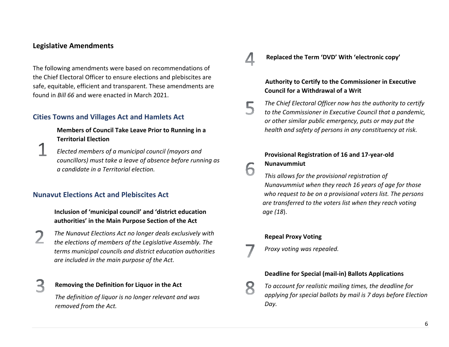### <span id="page-18-0"></span>**Legislative Amendments**

The following amendments were based on recommendations of the Chief Electoral Officer to ensure elections and plebiscites are safe, equitable, efficient and transparent. These amendments are found in *Bill 66* and were enacted in March 2021.

# <span id="page-18-1"></span>**Cities Towns and Villages Act and Hamlets Act**

**Members of Council Take Leave Prior to Running in a Territorial Election**

*Elected members of a municipal council (mayors and councillors) must take a leave of absence before running as a candidate in a Territorial election.*

### <span id="page-18-2"></span>**Nunavut Elections Act and Plebiscites Act**

 **Inclusion of 'municipal council' and 'district education authorities' in the Main Purpose Section of the Act**

*The Nunavut Elections Act no longer deals exclusively with the elections of members of the Legislative Assembly. The terms municipal councils and district education authorities are included in the main purpose of the Act.*

### **Removing the Definition for Liquor in the Act**

*The definition of liquor is no longer relevant and was removed from the Act.*

**Replaced the Term 'DVD' With 'electronic copy'**

### **Authority to Certify to the Commissioner in Executive Council for a Withdrawal of a Writ**

*The Chief Electoral Officer now has the authority to certify to the Commissioner in Executive Council that a pandemic, or other similar public emergency, puts or may put the health and safety of persons in any constituency at risk.*

# **Provisional Registration of 16 and 17-year-old**

# **Nunavummiut**

*This allows for the provisional registration of Nunavummiut when they reach 16 years of age for those who request to be on a provisional voters list. The persons are transferred to the voters list when they reach voting age (18*).

### **Repeal Proxy Voting**

*Proxy voting was repealed.*

### **Deadline for Special (mail-in) Ballots Applications**

*To account for realistic mailing times, the deadline for applying for special ballots by mail is 7 days before Election Day.*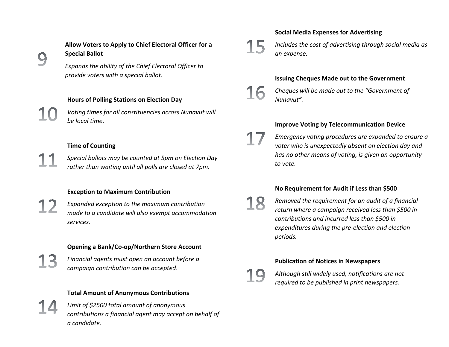

# **Allow Voters to Apply to Chief Electoral Officer for a Special Ballot**

*Expands the ability of the Chief Electoral Officer to provide voters with a special ballot*.

### **Hours of Polling Stations on Election Day**

*Voting times for all constituencies across Nunavut will be local time*.

### **Time of Counting**

*Special ballots may be counted at 5pm on Election Day rather than waiting until all polls are closed at 7pm.*

### **Exception to Maximum Contribution**

*Expanded exception to the maximum contribution made to a candidate will also exempt accommodation services*.

### **Opening a Bank/Co-op/Northern Store Account**

*Financial agents must open an account before a campaign contribution can be accepted*.

### **Total Amount of Anonymous Contributions**

*Limit of \$2500 total amount of anonymous contributions a financial agent may accept on behalf of a candidate.*

### **Social Media Expenses for Advertising**



*Includes the cost of advertising through social media as an expense.*

### **Issuing Cheques Made out to the Government**

*Cheques will be made out to the "Government of Nunavut".*

### **Improve Voting by Telecommunication Device**

*Emergency voting procedures are expanded to ensure a voter who is unexpectedly absent on election day and has no other means of voting, is given an opportunity to vote.*

### **No Requirement for Audit if Less than \$500**

*Removed the requirement for an audit of a financial return where a campaign received less than \$500 in contributions and incurred less than \$500 in expenditures during the pre-election and election periods.*

# **Publication of Notices in Newspapers**



*Although still widely used, notifications are not required to be published in print newspapers.*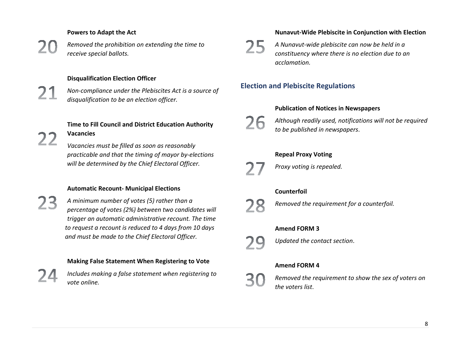### **Powers to Adapt the Act**

22

*Removed the prohibition on extending the time to receive special ballots.*

### **Disqualification Election Officer**

*Non-compliance under the Plebiscites Act is a source of disqualification to be an election officer.*

**Time to Fill Council and District Education Authority Vacancies**

*Vacancies must be filled as soon as reasonably practicable and that the timing of mayor by-elections will be determined by the Chief Electoral Officer.*

### **Automatic Recount- Municipal Elections**

*A minimum number of votes (5) rather than a percentage of votes (2%) between two candidates will trigger an automatic administrative recount. The time to request a recount is reduced to 4 days from 10 days and must be made to the Chief Electoral Officer.*

### **Making False Statement When Registering to Vote**

*Includes making a false statement when registering to vote online.*

### **Nunavut-Wide Plebiscite in Conjunction with Election**



*A Nunavut-wide plebiscite can now be held in a constituency where there is no election due to an acclamation.*

# <span id="page-20-0"></span>**Election and Plebiscite Regulations**

### **Publication of Notices in Newspapers**

26

*Although readily used, notifications will not be required to be published in newspapers*.

# **Repeal Proxy Voting**



*Proxy voting is repealed.*

### **Counterfoil**



*Removed the requirement for a counterfoil.*

#### **Amend FORM 3**



*Updated the contact section*.

### **Amend FORM 4**



*Removed the requirement to show the sex of voters on the voters list*.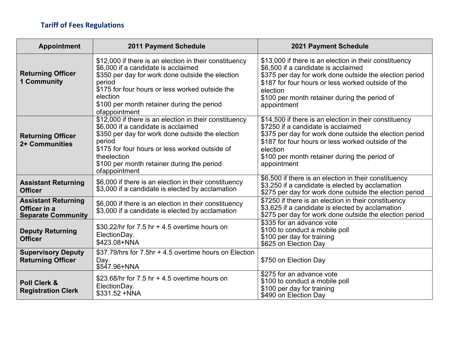# <span id="page-21-0"></span>**Tariff of Fees Regulations**

| Appointment                                                             | <b>2011 Payment Schedule</b>                                                                                                                                                                                                                                                                | <b>2021 Payment Schedule</b>                                                                                                                                                                                                                                                               |
|-------------------------------------------------------------------------|---------------------------------------------------------------------------------------------------------------------------------------------------------------------------------------------------------------------------------------------------------------------------------------------|--------------------------------------------------------------------------------------------------------------------------------------------------------------------------------------------------------------------------------------------------------------------------------------------|
| <b>Returning Officer</b><br><b>1 Community</b>                          | \$12,000 if there is an election in their constituency<br>\$6,000 if a candidate is acclaimed<br>\$350 per day for work done outside the election<br>period<br>\$175 for four hours or less worked outside the<br>election<br>\$100 per month retainer during the period<br>ofappointment   | \$13,000 if there is an election in their constituency<br>\$6,500 if a candidate is acclaimed<br>\$375 per day for work done outside the election period<br>\$187 for four hours or less worked outside of the<br>election<br>\$100 per month retainer during the period of<br>appointment |
| <b>Returning Officer</b><br>2+ Communities                              | \$12,000 if there is an election in their constituency<br>\$6,000 if a candidate is acclaimed<br>\$350 per day for work done outside the election<br>period<br>\$175 for four hours or less worked outside of<br>theelection<br>\$100 per month retainer during the period<br>ofappointment | \$14,500 if there is an election in their constituency<br>\$7250 if a candidate is acclaimed<br>\$375 per day for work done outside the election period<br>\$187 for four hours or less worked outside of the<br>election<br>\$100 per month retainer during the period of<br>appointment  |
| <b>Assistant Returning</b><br><b>Officer</b>                            | \$6,000 if there is an election in their constituency<br>\$3,000 if a candidate is elected by acclamation                                                                                                                                                                                   | \$6,500 if there is an election in their constituency<br>\$3,250 if a candidate is elected by acclamation<br>\$275 per day for work done outside the election period                                                                                                                       |
| <b>Assistant Returning</b><br>Officer in a<br><b>Separate Community</b> | \$6,000 if there is an election in their constituency<br>\$3,000 if a candidate is elected by acclamation                                                                                                                                                                                   | \$7250 if there is an election in their constituency<br>\$3,625 if a candidate is elected by acclamation<br>\$275 per day for work done outside the election period                                                                                                                        |
| <b>Deputy Returning</b><br><b>Officer</b>                               | \$30.22/hr for $7.5$ hr $+$ 4.5 overtime hours on<br>ElectionDay.<br>\$423.08+NNA                                                                                                                                                                                                           | \$335 for an advance vote<br>\$100 to conduct a mobile poll<br>\$100 per day for training<br>\$625 on Election Day                                                                                                                                                                         |
| <b>Supervisory Deputy</b><br><b>Returning Officer</b>                   | \$37.79/hrs for 7.5hr + 4.5 overtime hours on Election<br>Day.<br>\$547.96+NNA                                                                                                                                                                                                              | \$750 on Election Day                                                                                                                                                                                                                                                                      |
| <b>Poll Clerk &amp;</b><br><b>Registration Clerk</b>                    | \$23.68/hr for $7.5$ hr $+$ 4.5 overtime hours on<br>ElectionDay.<br>\$331.52 +NNA                                                                                                                                                                                                          | \$275 for an advance vote<br>\$100 to conduct a mobile poll<br>\$100 per day for training<br>\$490 on Election Day                                                                                                                                                                         |